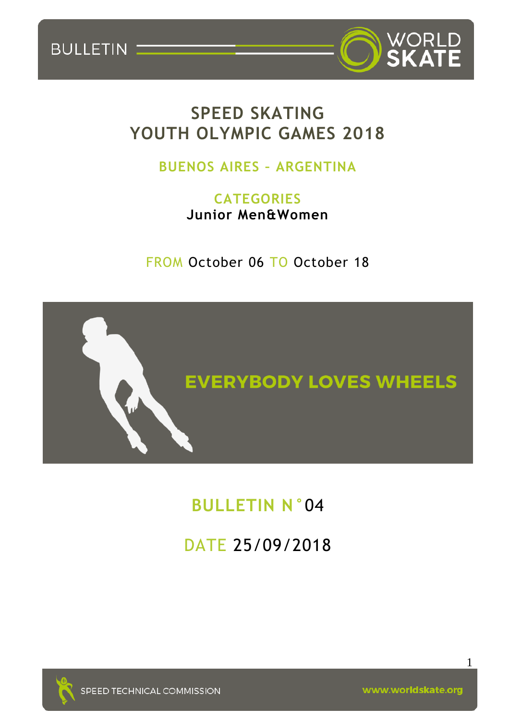



### **SPEED SKATING YOUTH OLYMPIC GAMES 2018**

### **BUENOS AIRES – ARGENTINA**

**CATEGORIES Junior Men&Women**

FROM October 06 TO October 18



# **BULLETIN N°**04

# DATE 25/09/2018



SPEED TECHNICAL COMMISSION

www.worldskate.org